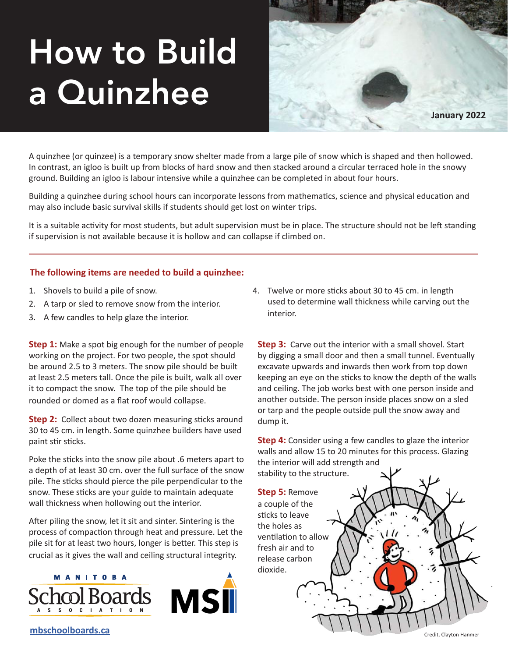# How to Build a Quinzhee



A quinzhee (or quinzee) is a temporary snow shelter made from a large pile of snow which is shaped and then hollowed. In contrast, an igloo is built up from blocks of hard snow and then stacked around a circular terraced hole in the snowy ground. Building an igloo is labour intensive while a quinzhee can be completed in about four hours.

Building a quinzhee during school hours can incorporate lessons from mathematics, science and physical education and may also include basic survival skills if students should get lost on winter trips.

It is a suitable activity for most students, but adult supervision must be in place. The structure should not be left standing if supervision is not available because it is hollow and can collapse if climbed on.

#### **The following items are needed to build a quinzhee:**

- 1. Shovels to build a pile of snow.
- 2. A tarp or sled to remove snow from the interior.
- 3. A few candles to help glaze the interior.

**Step 1:** Make a spot big enough for the number of people working on the project. For two people, the spot should be around 2.5 to 3 meters. The snow pile should be built at least 2.5 meters tall. Once the pile is built, walk all over it to compact the snow. The top of the pile should be rounded or domed as a flat roof would collapse.

**Step 2:** Collect about two dozen measuring sticks around 30 to 45 cm. in length. Some quinzhee builders have used paint stir sticks.

Poke the sticks into the snow pile about .6 meters apart to a depth of at least 30 cm. over the full surface of the snow pile. The sticks should pierce the pile perpendicular to the snow. These sticks are your guide to maintain adequate wall thickness when hollowing out the interior.

After piling the snow, let it sit and sinter. Sintering is the process of compaction through heat and pressure. Let the pile sit for at least two hours, longer is better. This step is crucial as it gives the wall and ceiling structural integrity.

## **MANITOBA** O C I A T I O N



4. Twelve or more sticks about 30 to 45 cm. in length used to determine wall thickness while carving out the interior.

**Step 3:** Carve out the interior with a small shovel. Start by digging a small door and then a small tunnel. Eventually excavate upwards and inwards then work from top down keeping an eye on the sticks to know the depth of the walls and ceiling. The job works best with one person inside and another outside. The person inside places snow on a sled or tarp and the people outside pull the snow away and dump it.

**Step 4:** Consider using a few candles to glaze the interior walls and allow 15 to 20 minutes for this process. Glazing the interior will add strength and stability to the structure.

**Step 5:** Remove a couple of the sticks to leave the holes as ventilation to allow fresh air and to release carbon dioxide.

**[mbschoolboards.ca](http://mbschoolboards.ca)**

Credit, Clayton Hanmer